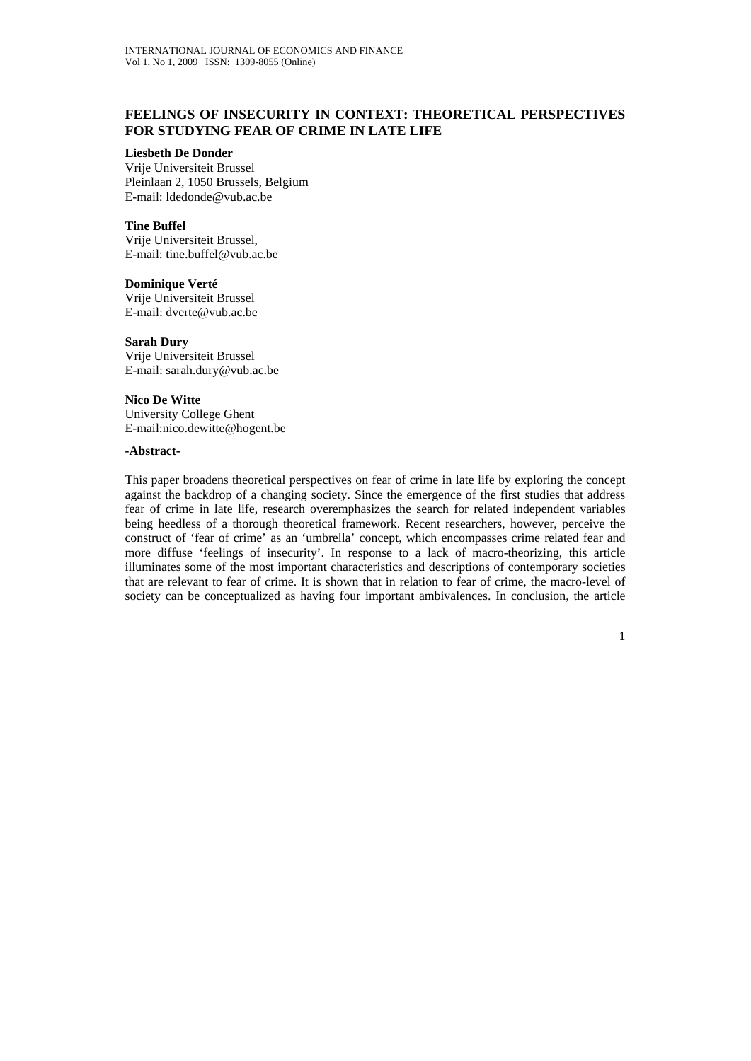# **FEELINGS OF INSECURITY IN CONTEXT: THEORETICAL PERSPECTIVES FOR STUDYING FEAR OF CRIME IN LATE LIFE**

### **Liesbeth De Donder**

Vrije Universiteit Brussel Pleinlaan 2, 1050 Brussels, Belgium E-mail: ldedonde@vub.ac.be

**Tine Buffel**  Vrije Universiteit Brussel, E-mail: tine.buffel@vub.ac.be

**Dominique Verté**  Vrije Universiteit Brussel E-mail: dverte@vub.ac.be

**Sarah Dury**  Vrije Universiteit Brussel E-mail: sarah.dury@vub.ac.be

**Nico De Witte**  University College Ghent E-mail:nico.dewitte@hogent.be

### **-Abstract-**

This paper broadens theoretical perspectives on fear of crime in late life by exploring the concept against the backdrop of a changing society. Since the emergence of the first studies that address fear of crime in late life, research overemphasizes the search for related independent variables being heedless of a thorough theoretical framework. Recent researchers, however, perceive the construct of 'fear of crime' as an 'umbrella' concept, which encompasses crime related fear and more diffuse 'feelings of insecurity'. In response to a lack of macro-theorizing, this article illuminates some of the most important characteristics and descriptions of contemporary societies that are relevant to fear of crime. It is shown that in relation to fear of crime, the macro-level of society can be conceptualized as having four important ambivalences. In conclusion, the article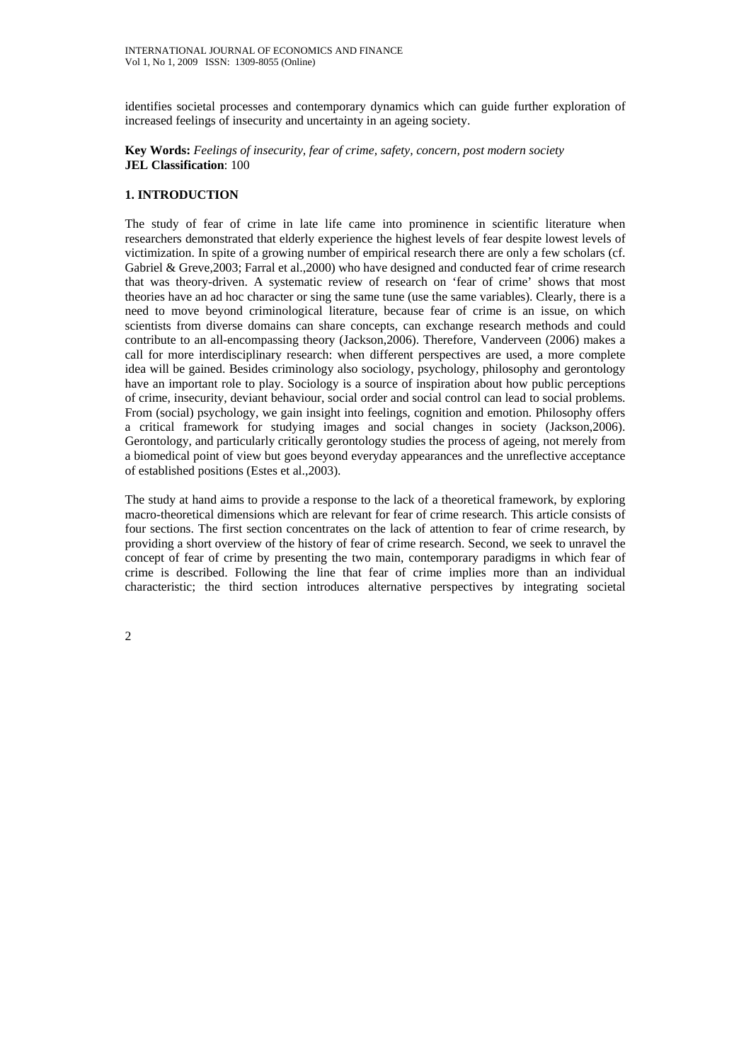identifies societal processes and contemporary dynamics which can guide further exploration of increased feelings of insecurity and uncertainty in an ageing society.

**Key Words:** *Feelings of insecurity, fear of crime, safety, concern, post modern society*  **JEL Classification**: 100

### **1. INTRODUCTION**

The study of fear of crime in late life came into prominence in scientific literature when researchers demonstrated that elderly experience the highest levels of fear despite lowest levels of victimization. In spite of a growing number of empirical research there are only a few scholars (cf. Gabriel & Greve,2003; Farral et al.,2000) who have designed and conducted fear of crime research that was theory-driven. A systematic review of research on 'fear of crime' shows that most theories have an ad hoc character or sing the same tune (use the same variables). Clearly, there is a need to move beyond criminological literature, because fear of crime is an issue, on which scientists from diverse domains can share concepts, can exchange research methods and could contribute to an all-encompassing theory (Jackson,2006). Therefore, Vanderveen (2006) makes a call for more interdisciplinary research: when different perspectives are used, a more complete idea will be gained. Besides criminology also sociology, psychology, philosophy and gerontology have an important role to play. Sociology is a source of inspiration about how public perceptions of crime, insecurity, deviant behaviour, social order and social control can lead to social problems. From (social) psychology, we gain insight into feelings, cognition and emotion. Philosophy offers a critical framework for studying images and social changes in society (Jackson,2006). Gerontology, and particularly critically gerontology studies the process of ageing, not merely from a biomedical point of view but goes beyond everyday appearances and the unreflective acceptance of established positions (Estes et al.,2003).

The study at hand aims to provide a response to the lack of a theoretical framework, by exploring macro-theoretical dimensions which are relevant for fear of crime research. This article consists of four sections. The first section concentrates on the lack of attention to fear of crime research, by providing a short overview of the history of fear of crime research. Second, we seek to unravel the concept of fear of crime by presenting the two main, contemporary paradigms in which fear of crime is described. Following the line that fear of crime implies more than an individual characteristic; the third section introduces alternative perspectives by integrating societal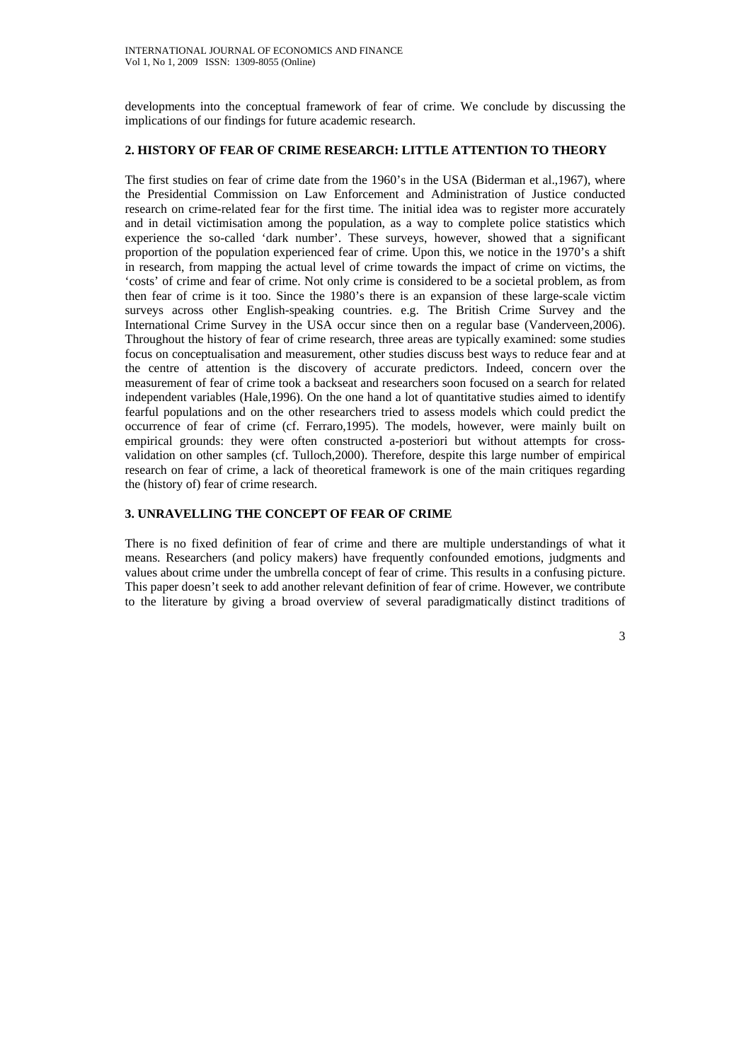developments into the conceptual framework of fear of crime. We conclude by discussing the implications of our findings for future academic research.

### **2. HISTORY OF FEAR OF CRIME RESEARCH: LITTLE ATTENTION TO THEORY**

The first studies on fear of crime date from the 1960's in the USA (Biderman et al.,1967), where the Presidential Commission on Law Enforcement and Administration of Justice conducted research on crime-related fear for the first time. The initial idea was to register more accurately and in detail victimisation among the population, as a way to complete police statistics which experience the so-called 'dark number'. These surveys, however, showed that a significant proportion of the population experienced fear of crime. Upon this, we notice in the 1970's a shift in research, from mapping the actual level of crime towards the impact of crime on victims, the 'costs' of crime and fear of crime. Not only crime is considered to be a societal problem, as from then fear of crime is it too. Since the 1980's there is an expansion of these large-scale victim surveys across other English-speaking countries. e.g. The British Crime Survey and the International Crime Survey in the USA occur since then on a regular base (Vanderveen,2006). Throughout the history of fear of crime research, three areas are typically examined: some studies focus on conceptualisation and measurement, other studies discuss best ways to reduce fear and at the centre of attention is the discovery of accurate predictors. Indeed, concern over the measurement of fear of crime took a backseat and researchers soon focused on a search for related independent variables (Hale,1996). On the one hand a lot of quantitative studies aimed to identify fearful populations and on the other researchers tried to assess models which could predict the occurrence of fear of crime (cf. Ferraro,1995). The models, however, were mainly built on empirical grounds: they were often constructed a-posteriori but without attempts for crossvalidation on other samples (cf. Tulloch,2000). Therefore, despite this large number of empirical research on fear of crime, a lack of theoretical framework is one of the main critiques regarding the (history of) fear of crime research.

### **3. UNRAVELLING THE CONCEPT OF FEAR OF CRIME**

There is no fixed definition of fear of crime and there are multiple understandings of what it means. Researchers (and policy makers) have frequently confounded emotions, judgments and values about crime under the umbrella concept of fear of crime. This results in a confusing picture. This paper doesn't seek to add another relevant definition of fear of crime. However, we contribute to the literature by giving a broad overview of several paradigmatically distinct traditions of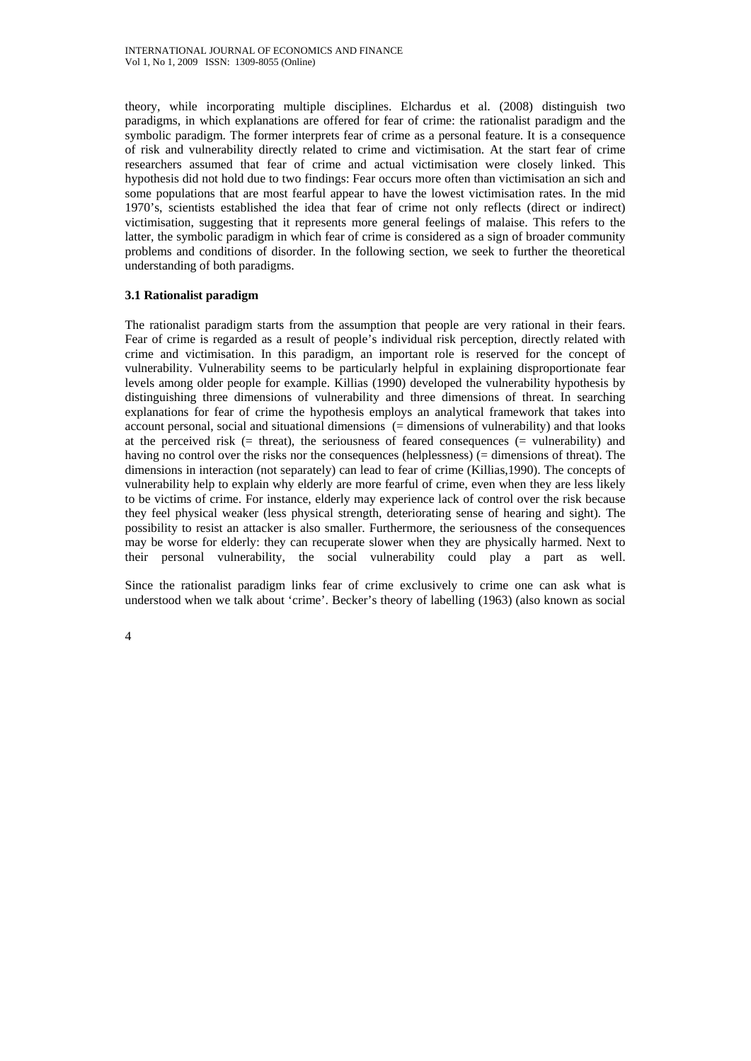theory, while incorporating multiple disciplines. Elchardus et al. (2008) distinguish two paradigms, in which explanations are offered for fear of crime: the rationalist paradigm and the symbolic paradigm. The former interprets fear of crime as a personal feature. It is a consequence of risk and vulnerability directly related to crime and victimisation. At the start fear of crime researchers assumed that fear of crime and actual victimisation were closely linked. This hypothesis did not hold due to two findings: Fear occurs more often than victimisation an sich and some populations that are most fearful appear to have the lowest victimisation rates. In the mid 1970's, scientists established the idea that fear of crime not only reflects (direct or indirect) victimisation, suggesting that it represents more general feelings of malaise. This refers to the latter, the symbolic paradigm in which fear of crime is considered as a sign of broader community problems and conditions of disorder. In the following section, we seek to further the theoretical understanding of both paradigms.

## **3.1 Rationalist paradigm**

The rationalist paradigm starts from the assumption that people are very rational in their fears. Fear of crime is regarded as a result of people's individual risk perception, directly related with crime and victimisation. In this paradigm, an important role is reserved for the concept of vulnerability. Vulnerability seems to be particularly helpful in explaining disproportionate fear levels among older people for example. Killias (1990) developed the vulnerability hypothesis by distinguishing three dimensions of vulnerability and three dimensions of threat. In searching explanations for fear of crime the hypothesis employs an analytical framework that takes into account personal, social and situational dimensions (= dimensions of vulnerability) and that looks at the perceived risk  $(=$  threat), the seriousness of feared consequences  $(=$  vulnerability) and having no control over the risks nor the consequences (helplessness) (= dimensions of threat). The dimensions in interaction (not separately) can lead to fear of crime (Killias,1990). The concepts of vulnerability help to explain why elderly are more fearful of crime, even when they are less likely to be victims of crime. For instance, elderly may experience lack of control over the risk because they feel physical weaker (less physical strength, deteriorating sense of hearing and sight). The possibility to resist an attacker is also smaller. Furthermore, the seriousness of the consequences may be worse for elderly: they can recuperate slower when they are physically harmed. Next to their personal vulnerability, the social vulnerability could play a part as well.

Since the rationalist paradigm links fear of crime exclusively to crime one can ask what is understood when we talk about 'crime'. Becker's theory of labelling (1963) (also known as social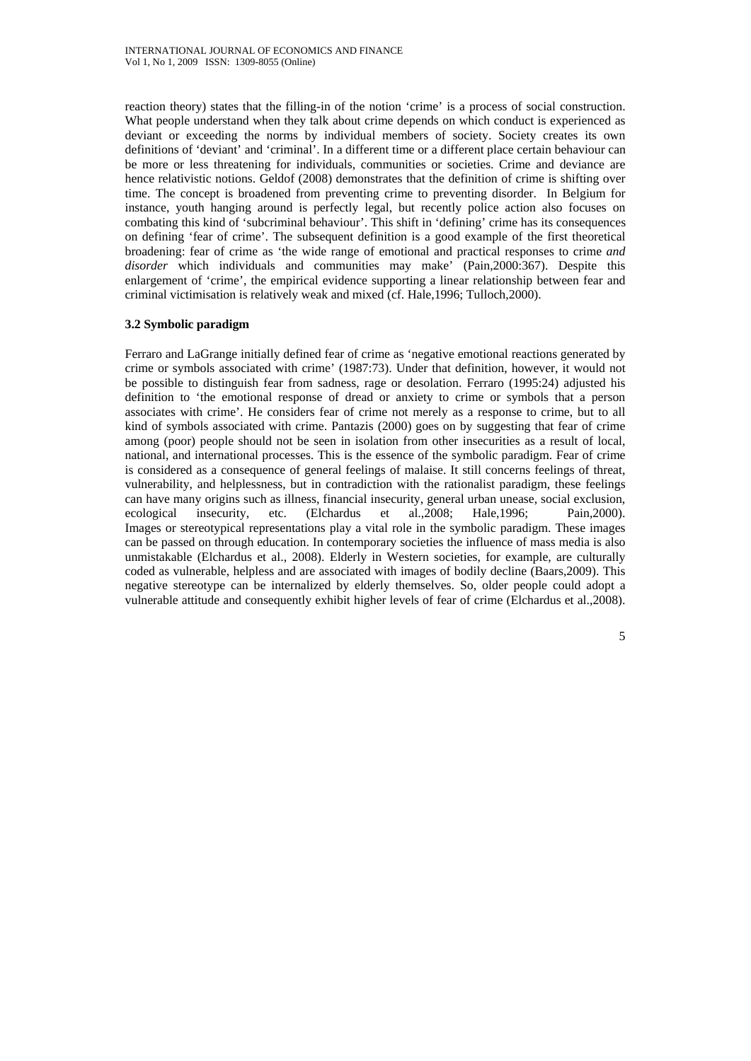reaction theory) states that the filling-in of the notion 'crime' is a process of social construction. What people understand when they talk about crime depends on which conduct is experienced as deviant or exceeding the norms by individual members of society. Society creates its own definitions of 'deviant' and 'criminal'. In a different time or a different place certain behaviour can be more or less threatening for individuals, communities or societies. Crime and deviance are hence relativistic notions. Geldof (2008) demonstrates that the definition of crime is shifting over time. The concept is broadened from preventing crime to preventing disorder. In Belgium for instance, youth hanging around is perfectly legal, but recently police action also focuses on combating this kind of 'subcriminal behaviour'. This shift in 'defining' crime has its consequences on defining 'fear of crime'. The subsequent definition is a good example of the first theoretical broadening: fear of crime as 'the wide range of emotional and practical responses to crime *and disorder* which individuals and communities may make' (Pain,2000:367). Despite this enlargement of 'crime', the empirical evidence supporting a linear relationship between fear and criminal victimisation is relatively weak and mixed (cf. Hale,1996; Tulloch,2000).

### **3.2 Symbolic paradigm**

Ferraro and LaGrange initially defined fear of crime as 'negative emotional reactions generated by crime or symbols associated with crime' (1987:73). Under that definition, however, it would not be possible to distinguish fear from sadness, rage or desolation. Ferraro (1995:24) adjusted his definition to 'the emotional response of dread or anxiety to crime or symbols that a person associates with crime'. He considers fear of crime not merely as a response to crime, but to all kind of symbols associated with crime. Pantazis (2000) goes on by suggesting that fear of crime among (poor) people should not be seen in isolation from other insecurities as a result of local, national, and international processes. This is the essence of the symbolic paradigm. Fear of crime is considered as a consequence of general feelings of malaise. It still concerns feelings of threat, vulnerability, and helplessness, but in contradiction with the rationalist paradigm, these feelings can have many origins such as illness, financial insecurity, general urban unease, social exclusion, ecological insecurity, etc. (Elchardus et al.,2008; Hale,1996; Pain,2000). Images or stereotypical representations play a vital role in the symbolic paradigm. These images can be passed on through education. In contemporary societies the influence of mass media is also unmistakable (Elchardus et al., 2008). Elderly in Western societies, for example, are culturally coded as vulnerable, helpless and are associated with images of bodily decline (Baars,2009). This negative stereotype can be internalized by elderly themselves. So, older people could adopt a vulnerable attitude and consequently exhibit higher levels of fear of crime (Elchardus et al.,2008).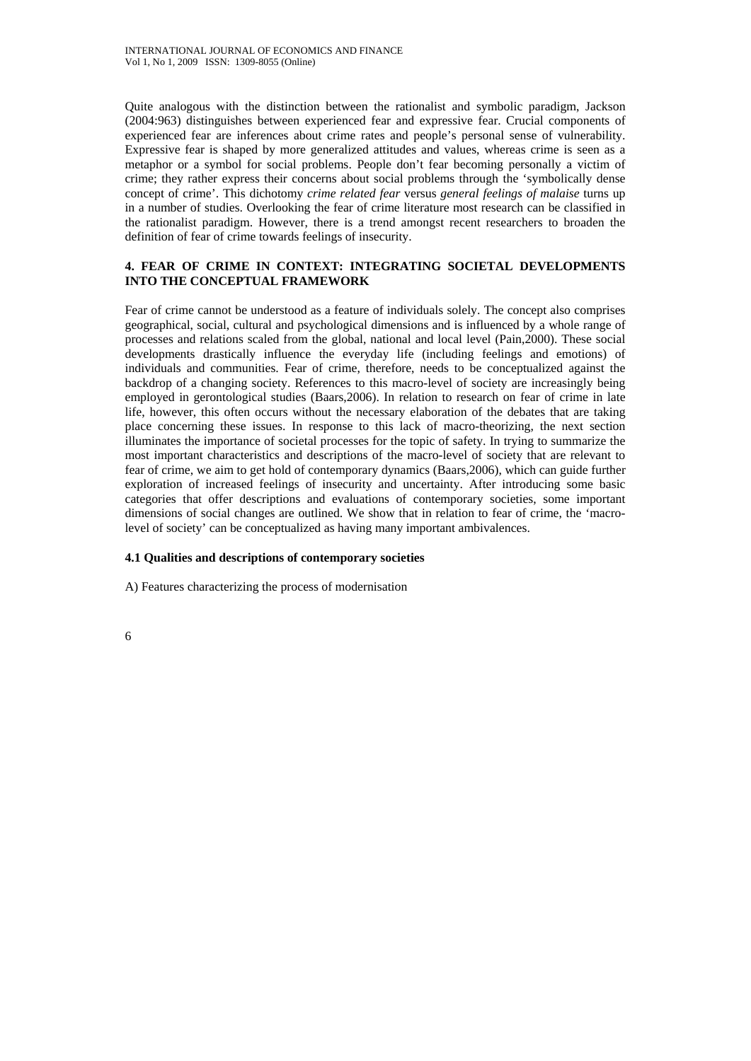Quite analogous with the distinction between the rationalist and symbolic paradigm, Jackson (2004:963) distinguishes between experienced fear and expressive fear. Crucial components of experienced fear are inferences about crime rates and people's personal sense of vulnerability. Expressive fear is shaped by more generalized attitudes and values, whereas crime is seen as a metaphor or a symbol for social problems. People don't fear becoming personally a victim of crime; they rather express their concerns about social problems through the 'symbolically dense concept of crime'. This dichotomy *crime related fear* versus *general feelings of malaise* turns up in a number of studies. Overlooking the fear of crime literature most research can be classified in the rationalist paradigm. However, there is a trend amongst recent researchers to broaden the definition of fear of crime towards feelings of insecurity.

## **4. FEAR OF CRIME IN CONTEXT: INTEGRATING SOCIETAL DEVELOPMENTS INTO THE CONCEPTUAL FRAMEWORK**

Fear of crime cannot be understood as a feature of individuals solely. The concept also comprises geographical, social, cultural and psychological dimensions and is influenced by a whole range of processes and relations scaled from the global, national and local level (Pain,2000). These social developments drastically influence the everyday life (including feelings and emotions) of individuals and communities. Fear of crime, therefore, needs to be conceptualized against the backdrop of a changing society. References to this macro-level of society are increasingly being employed in gerontological studies (Baars,2006). In relation to research on fear of crime in late life, however, this often occurs without the necessary elaboration of the debates that are taking place concerning these issues. In response to this lack of macro-theorizing, the next section illuminates the importance of societal processes for the topic of safety. In trying to summarize the most important characteristics and descriptions of the macro-level of society that are relevant to fear of crime, we aim to get hold of contemporary dynamics (Baars,2006), which can guide further exploration of increased feelings of insecurity and uncertainty. After introducing some basic categories that offer descriptions and evaluations of contemporary societies, some important dimensions of social changes are outlined. We show that in relation to fear of crime, the 'macrolevel of society' can be conceptualized as having many important ambivalences.

## **4.1 Qualities and descriptions of contemporary societies**

A) Features characterizing the process of modernisation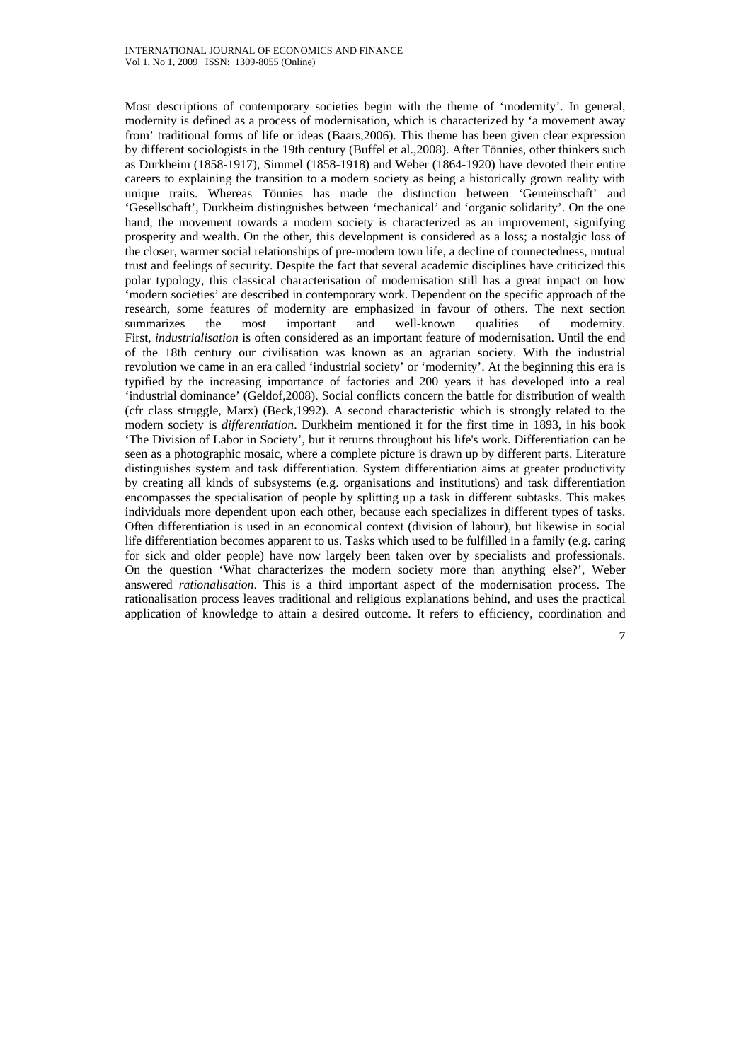Most descriptions of contemporary societies begin with the theme of 'modernity'. In general, modernity is defined as a process of modernisation, which is characterized by 'a movement away from' traditional forms of life or ideas (Baars,2006). This theme has been given clear expression by different sociologists in the 19th century (Buffel et al.,2008). After Tönnies, other thinkers such as Durkheim (1858-1917), Simmel (1858-1918) and Weber (1864-1920) have devoted their entire careers to explaining the transition to a modern society as being a historically grown reality with unique traits. Whereas Tönnies has made the distinction between 'Gemeinschaft' and 'Gesellschaft', Durkheim distinguishes between 'mechanical' and 'organic solidarity'. On the one hand, the movement towards a modern society is characterized as an improvement, signifying prosperity and wealth. On the other, this development is considered as a loss; a nostalgic loss of the closer, warmer social relationships of pre-modern town life, a decline of connectedness, mutual trust and feelings of security. Despite the fact that several academic disciplines have criticized this polar typology, this classical characterisation of modernisation still has a great impact on how 'modern societies' are described in contemporary work. Dependent on the specific approach of the research, some features of modernity are emphasized in favour of others. The next section summarizes the most important and well-known qualities of modernity. First, *industrialisation* is often considered as an important feature of modernisation. Until the end of the 18th century our civilisation was known as an agrarian society. With the industrial revolution we came in an era called 'industrial society' or 'modernity'. At the beginning this era is typified by the increasing importance of factories and 200 years it has developed into a real 'industrial dominance' (Geldof,2008). Social conflicts concern the battle for distribution of wealth (cfr class struggle, Marx) (Beck,1992). A second characteristic which is strongly related to the modern society is *differentiation*. Durkheim mentioned it for the first time in 1893, in his book 'The Division of Labor in Society', but it returns throughout his life's work. Differentiation can be seen as a photographic mosaic, where a complete picture is drawn up by different parts. Literature distinguishes system and task differentiation. System differentiation aims at greater productivity by creating all kinds of subsystems (e.g. organisations and institutions) and task differentiation encompasses the specialisation of people by splitting up a task in different subtasks. This makes individuals more dependent upon each other, because each specializes in different types of tasks. Often differentiation is used in an economical context (division of labour), but likewise in social life differentiation becomes apparent to us. Tasks which used to be fulfilled in a family (e.g. caring for sick and older people) have now largely been taken over by specialists and professionals. On the question 'What characterizes the modern society more than anything else?', Weber answered *rationalisation*. This is a third important aspect of the modernisation process. The rationalisation process leaves traditional and religious explanations behind, and uses the practical application of knowledge to attain a desired outcome. It refers to efficiency, coordination and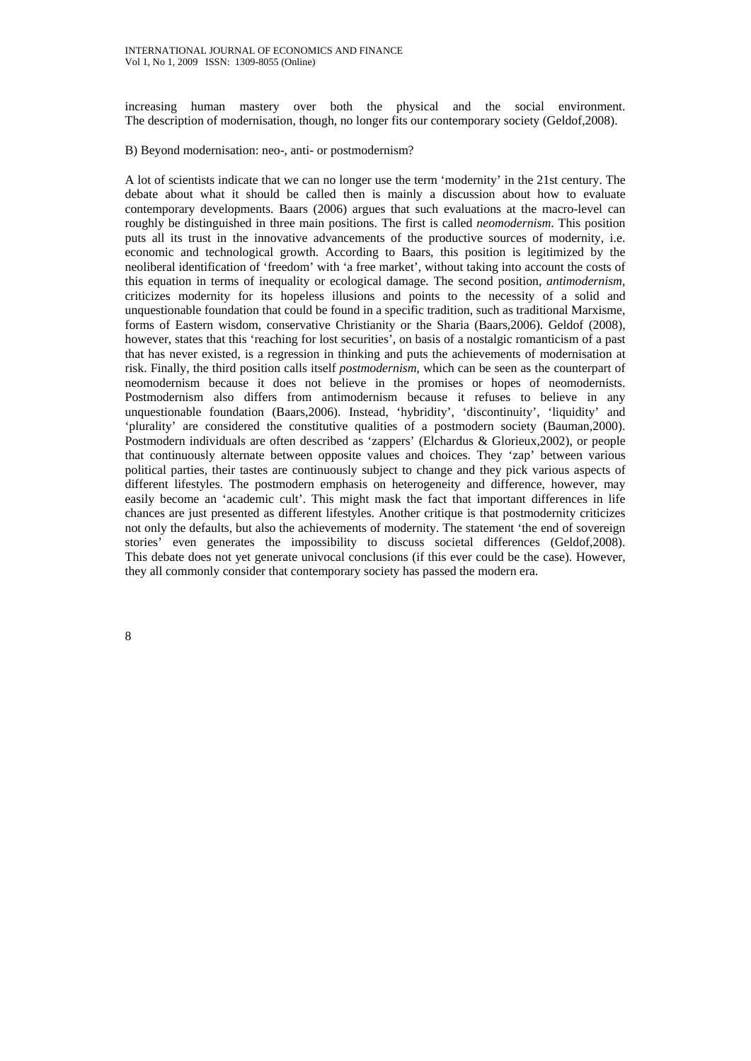increasing human mastery over both the physical and the social environment. The description of modernisation, though, no longer fits our contemporary society (Geldof,2008).

B) Beyond modernisation: neo-, anti- or postmodernism?

A lot of scientists indicate that we can no longer use the term 'modernity' in the 21st century. The debate about what it should be called then is mainly a discussion about how to evaluate contemporary developments. Baars (2006) argues that such evaluations at the macro-level can roughly be distinguished in three main positions. The first is called *neomodernism*. This position puts all its trust in the innovative advancements of the productive sources of modernity, i.e. economic and technological growth. According to Baars, this position is legitimized by the neoliberal identification of 'freedom' with 'a free market', without taking into account the costs of this equation in terms of inequality or ecological damage. The second position, *antimodernism*, criticizes modernity for its hopeless illusions and points to the necessity of a solid and unquestionable foundation that could be found in a specific tradition, such as traditional Marxisme, forms of Eastern wisdom, conservative Christianity or the Sharia (Baars,2006). Geldof (2008), however, states that this 'reaching for lost securities', on basis of a nostalgic romanticism of a past that has never existed, is a regression in thinking and puts the achievements of modernisation at risk. Finally, the third position calls itself *postmodernism*, which can be seen as the counterpart of neomodernism because it does not believe in the promises or hopes of neomodernists. Postmodernism also differs from antimodernism because it refuses to believe in any unquestionable foundation (Baars,2006). Instead, 'hybridity', 'discontinuity', 'liquidity' and 'plurality' are considered the constitutive qualities of a postmodern society (Bauman,2000). Postmodern individuals are often described as 'zappers' (Elchardus & Glorieux,2002), or people that continuously alternate between opposite values and choices. They 'zap' between various political parties, their tastes are continuously subject to change and they pick various aspects of different lifestyles. The postmodern emphasis on heterogeneity and difference, however, may easily become an 'academic cult'. This might mask the fact that important differences in life chances are just presented as different lifestyles. Another critique is that postmodernity criticizes not only the defaults, but also the achievements of modernity. The statement 'the end of sovereign stories' even generates the impossibility to discuss societal differences (Geldof,2008). This debate does not yet generate univocal conclusions (if this ever could be the case). However, they all commonly consider that contemporary society has passed the modern era.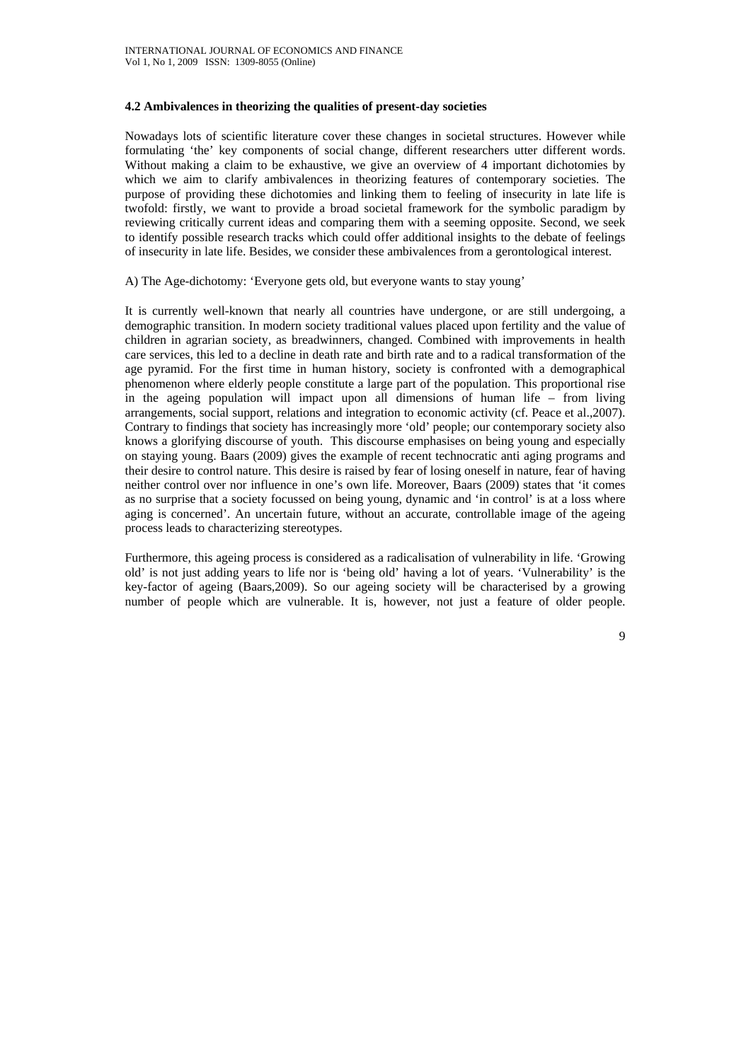### **4.2 Ambivalences in theorizing the qualities of present-day societies**

Nowadays lots of scientific literature cover these changes in societal structures. However while formulating 'the' key components of social change, different researchers utter different words. Without making a claim to be exhaustive, we give an overview of 4 important dichotomies by which we aim to clarify ambivalences in theorizing features of contemporary societies. The purpose of providing these dichotomies and linking them to feeling of insecurity in late life is twofold: firstly, we want to provide a broad societal framework for the symbolic paradigm by reviewing critically current ideas and comparing them with a seeming opposite. Second, we seek to identify possible research tracks which could offer additional insights to the debate of feelings of insecurity in late life. Besides, we consider these ambivalences from a gerontological interest.

A) The Age-dichotomy: 'Everyone gets old, but everyone wants to stay young'

It is currently well-known that nearly all countries have undergone, or are still undergoing, a demographic transition. In modern society traditional values placed upon fertility and the value of children in agrarian society, as breadwinners, changed. Combined with improvements in health care services, this led to a decline in death rate and birth rate and to a radical transformation of the age pyramid. For the first time in human history, society is confronted with a demographical phenomenon where elderly people constitute a large part of the population. This proportional rise in the ageing population will impact upon all dimensions of human life – from living arrangements, social support, relations and integration to economic activity (cf. Peace et al.,2007). Contrary to findings that society has increasingly more 'old' people; our contemporary society also knows a glorifying discourse of youth. This discourse emphasises on being young and especially on staying young. Baars (2009) gives the example of recent technocratic anti aging programs and their desire to control nature. This desire is raised by fear of losing oneself in nature, fear of having neither control over nor influence in one's own life. Moreover, Baars (2009) states that 'it comes as no surprise that a society focussed on being young, dynamic and 'in control' is at a loss where aging is concerned'. An uncertain future, without an accurate, controllable image of the ageing process leads to characterizing stereotypes.

Furthermore, this ageing process is considered as a radicalisation of vulnerability in life. 'Growing old' is not just adding years to life nor is 'being old' having a lot of years. 'Vulnerability' is the key-factor of ageing (Baars,2009). So our ageing society will be characterised by a growing number of people which are vulnerable. It is, however, not just a feature of older people.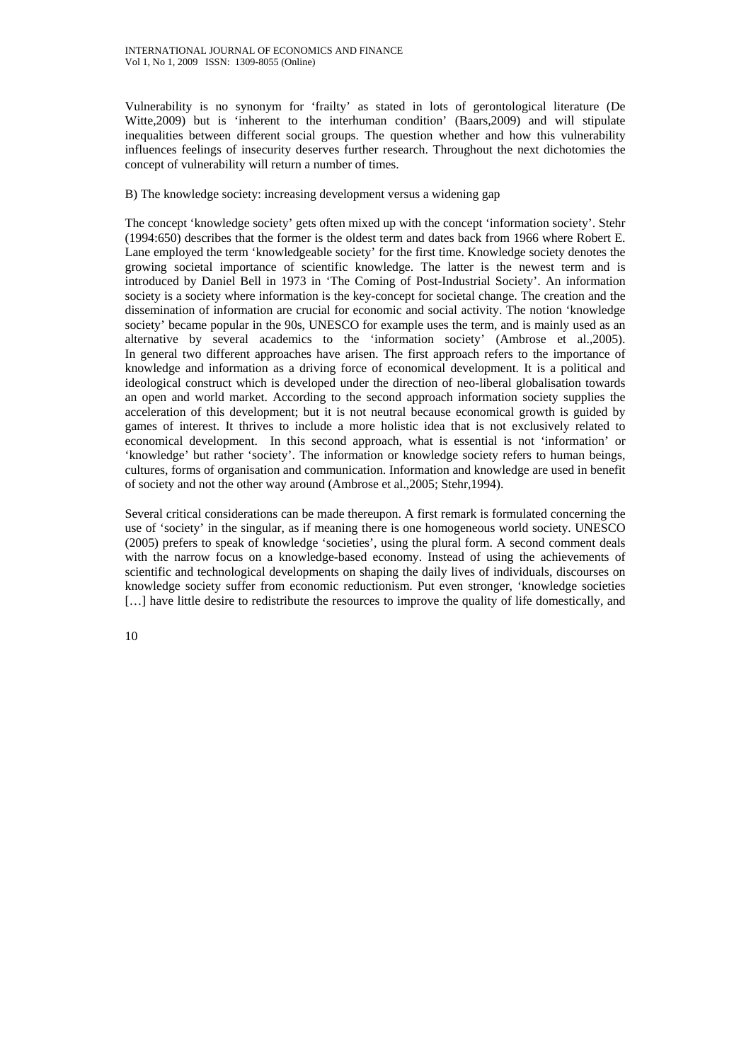Vulnerability is no synonym for 'frailty' as stated in lots of gerontological literature (De Witte,2009) but is 'inherent to the interhuman condition' (Baars,2009) and will stipulate inequalities between different social groups. The question whether and how this vulnerability influences feelings of insecurity deserves further research. Throughout the next dichotomies the concept of vulnerability will return a number of times.

### B) The knowledge society: increasing development versus a widening gap

The concept 'knowledge society' gets often mixed up with the concept 'information society'. Stehr (1994:650) describes that the former is the oldest term and dates back from 1966 where Robert E. Lane employed the term 'knowledgeable society' for the first time. Knowledge society denotes the growing societal importance of scientific knowledge. The latter is the newest term and is introduced by Daniel Bell in 1973 in 'The Coming of Post-Industrial Society'. An information society is a society where information is the key-concept for societal change. The creation and the dissemination of information are crucial for economic and social activity. The notion 'knowledge society' became popular in the 90s, UNESCO for example uses the term, and is mainly used as an alternative by several academics to the 'information society' (Ambrose et al.,2005). In general two different approaches have arisen. The first approach refers to the importance of knowledge and information as a driving force of economical development. It is a political and ideological construct which is developed under the direction of neo-liberal globalisation towards an open and world market. According to the second approach information society supplies the acceleration of this development; but it is not neutral because economical growth is guided by games of interest. It thrives to include a more holistic idea that is not exclusively related to economical development. In this second approach, what is essential is not 'information' or 'knowledge' but rather 'society'. The information or knowledge society refers to human beings, cultures, forms of organisation and communication. Information and knowledge are used in benefit of society and not the other way around (Ambrose et al.,2005; Stehr,1994).

Several critical considerations can be made thereupon. A first remark is formulated concerning the use of 'society' in the singular, as if meaning there is one homogeneous world society. UNESCO (2005) prefers to speak of knowledge 'societies', using the plural form. A second comment deals with the narrow focus on a knowledge-based economy. Instead of using the achievements of scientific and technological developments on shaping the daily lives of individuals, discourses on knowledge society suffer from economic reductionism. Put even stronger, 'knowledge societies [...] have little desire to redistribute the resources to improve the quality of life domestically, and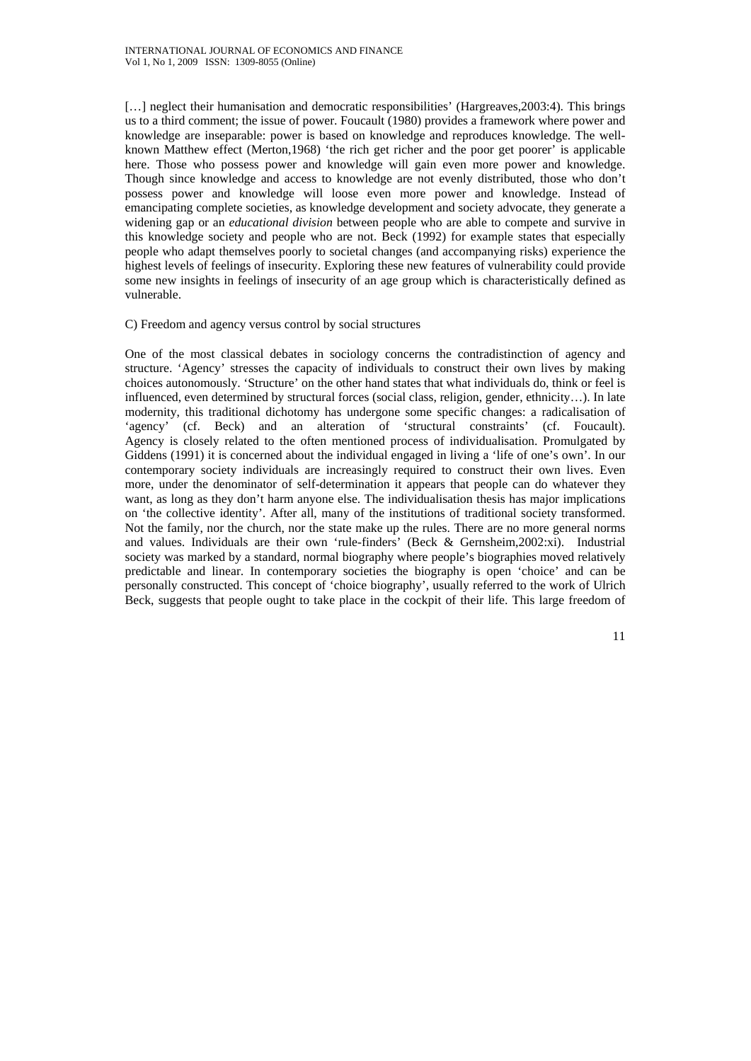[...] neglect their humanisation and democratic responsibilities' (Hargreaves, 2003:4). This brings us to a third comment; the issue of power. Foucault (1980) provides a framework where power and knowledge are inseparable: power is based on knowledge and reproduces knowledge. The wellknown Matthew effect (Merton,1968) 'the rich get richer and the poor get poorer' is applicable here. Those who possess power and knowledge will gain even more power and knowledge. Though since knowledge and access to knowledge are not evenly distributed, those who don't possess power and knowledge will loose even more power and knowledge. Instead of emancipating complete societies, as knowledge development and society advocate, they generate a widening gap or an *educational division* between people who are able to compete and survive in this knowledge society and people who are not. Beck (1992) for example states that especially people who adapt themselves poorly to societal changes (and accompanying risks) experience the highest levels of feelings of insecurity. Exploring these new features of vulnerability could provide some new insights in feelings of insecurity of an age group which is characteristically defined as vulnerable.

#### C) Freedom and agency versus control by social structures

One of the most classical debates in sociology concerns the contradistinction of agency and structure. 'Agency' stresses the capacity of individuals to construct their own lives by making choices autonomously. 'Structure' on the other hand states that what individuals do, think or feel is influenced, even determined by structural forces (social class, religion, gender, ethnicity…). In late modernity, this traditional dichotomy has undergone some specific changes: a radicalisation of 'agency' (cf. Beck) and an alteration of 'structural constraints' (cf. Foucault). Agency is closely related to the often mentioned process of individualisation. Promulgated by Giddens (1991) it is concerned about the individual engaged in living a 'life of one's own'. In our contemporary society individuals are increasingly required to construct their own lives. Even more, under the denominator of self-determination it appears that people can do whatever they want, as long as they don't harm anyone else. The individualisation thesis has major implications on 'the collective identity'. After all, many of the institutions of traditional society transformed. Not the family, nor the church, nor the state make up the rules. There are no more general norms and values. Individuals are their own 'rule-finders' (Beck & Gernsheim,2002:xi). Industrial society was marked by a standard, normal biography where people's biographies moved relatively predictable and linear. In contemporary societies the biography is open 'choice' and can be personally constructed. This concept of 'choice biography', usually referred to the work of Ulrich Beck, suggests that people ought to take place in the cockpit of their life. This large freedom of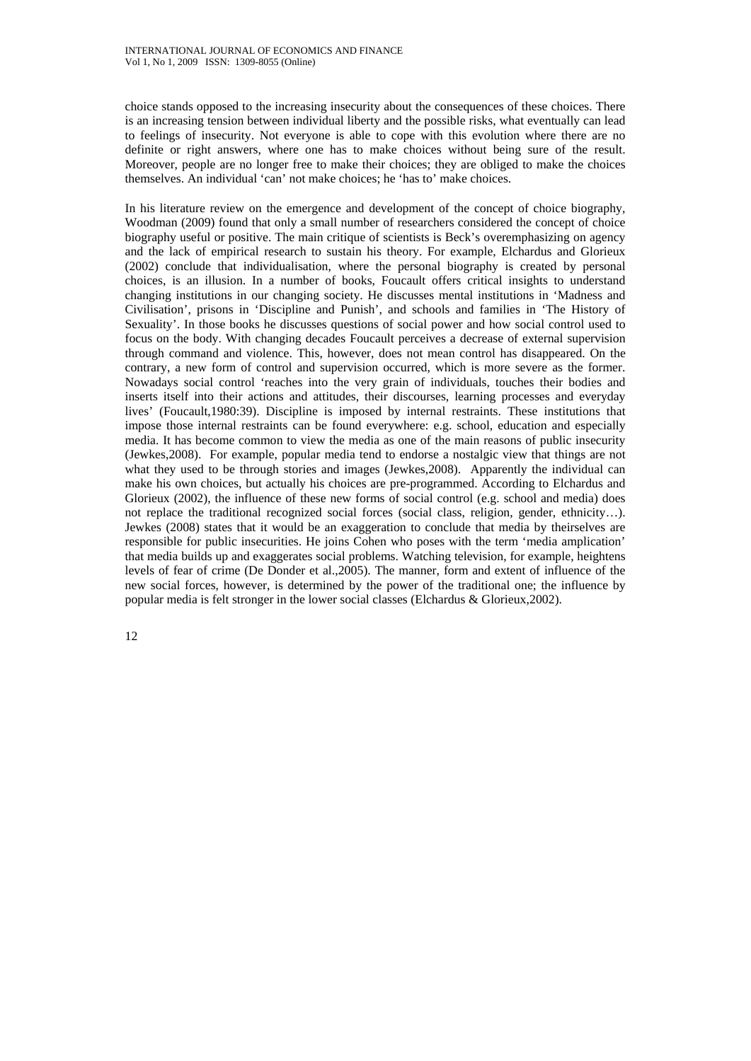choice stands opposed to the increasing insecurity about the consequences of these choices. There is an increasing tension between individual liberty and the possible risks, what eventually can lead to feelings of insecurity. Not everyone is able to cope with this evolution where there are no definite or right answers, where one has to make choices without being sure of the result. Moreover, people are no longer free to make their choices; they are obliged to make the choices themselves. An individual 'can' not make choices; he 'has to' make choices.

In his literature review on the emergence and development of the concept of choice biography, Woodman (2009) found that only a small number of researchers considered the concept of choice biography useful or positive. The main critique of scientists is Beck's overemphasizing on agency and the lack of empirical research to sustain his theory. For example, Elchardus and Glorieux (2002) conclude that individualisation, where the personal biography is created by personal choices, is an illusion. In a number of books, Foucault offers critical insights to understand changing institutions in our changing society. He discusses mental institutions in 'Madness and Civilisation', prisons in 'Discipline and Punish', and schools and families in 'The History of Sexuality'. In those books he discusses questions of social power and how social control used to focus on the body. With changing decades Foucault perceives a decrease of external supervision through command and violence. This, however, does not mean control has disappeared. On the contrary, a new form of control and supervision occurred, which is more severe as the former. Nowadays social control 'reaches into the very grain of individuals, touches their bodies and inserts itself into their actions and attitudes, their discourses, learning processes and everyday lives' (Foucault,1980:39). Discipline is imposed by internal restraints. These institutions that impose those internal restraints can be found everywhere: e.g. school, education and especially media. It has become common to view the media as one of the main reasons of public insecurity (Jewkes,2008). For example, popular media tend to endorse a nostalgic view that things are not what they used to be through stories and images (Jewkes,2008). Apparently the individual can make his own choices, but actually his choices are pre-programmed. According to Elchardus and Glorieux (2002), the influence of these new forms of social control (e.g. school and media) does not replace the traditional recognized social forces (social class, religion, gender, ethnicity…). Jewkes (2008) states that it would be an exaggeration to conclude that media by theirselves are responsible for public insecurities. He joins Cohen who poses with the term 'media amplication' that media builds up and exaggerates social problems. Watching television, for example, heightens levels of fear of crime (De Donder et al.,2005). The manner, form and extent of influence of the new social forces, however, is determined by the power of the traditional one; the influence by popular media is felt stronger in the lower social classes (Elchardus & Glorieux,2002).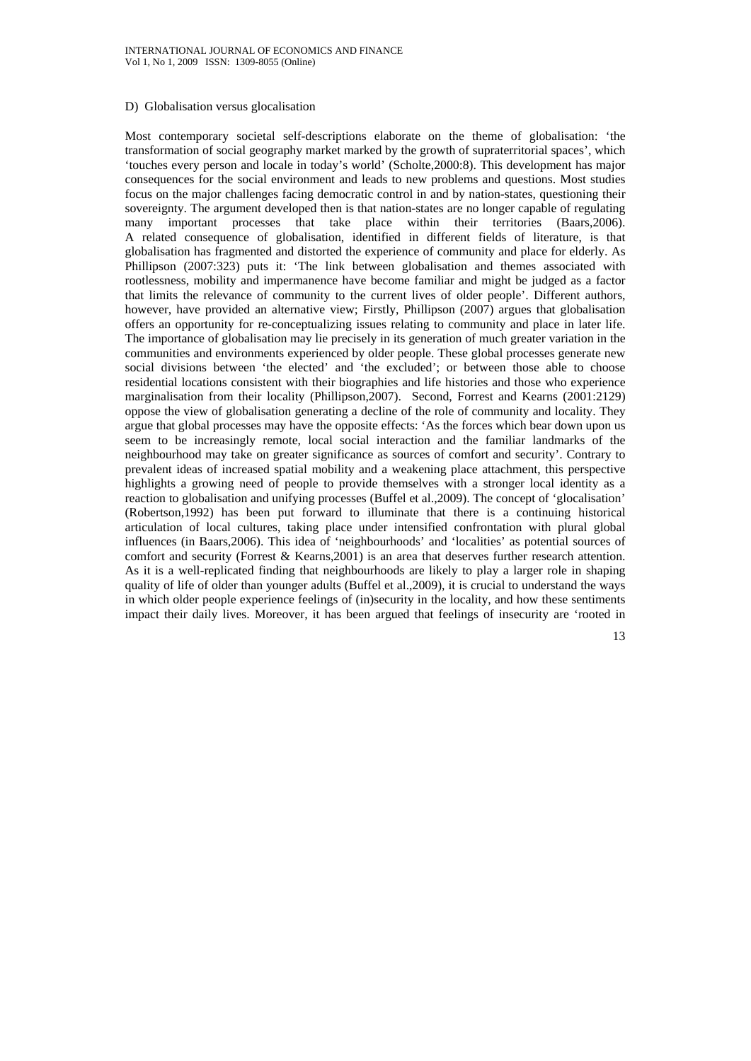#### D) Globalisation versus glocalisation

Most contemporary societal self-descriptions elaborate on the theme of globalisation: 'the transformation of social geography market marked by the growth of supraterritorial spaces', which 'touches every person and locale in today's world' (Scholte,2000:8). This development has major consequences for the social environment and leads to new problems and questions. Most studies focus on the major challenges facing democratic control in and by nation-states, questioning their sovereignty. The argument developed then is that nation-states are no longer capable of regulating many important processes that take place within their territories (Baars,2006). A related consequence of globalisation, identified in different fields of literature, is that globalisation has fragmented and distorted the experience of community and place for elderly. As Phillipson (2007:323) puts it: 'The link between globalisation and themes associated with rootlessness, mobility and impermanence have become familiar and might be judged as a factor that limits the relevance of community to the current lives of older people'. Different authors, however, have provided an alternative view; Firstly, Phillipson (2007) argues that globalisation offers an opportunity for re-conceptualizing issues relating to community and place in later life. The importance of globalisation may lie precisely in its generation of much greater variation in the communities and environments experienced by older people. These global processes generate new social divisions between 'the elected' and 'the excluded'; or between those able to choose residential locations consistent with their biographies and life histories and those who experience marginalisation from their locality (Phillipson,2007). Second, Forrest and Kearns (2001:2129) oppose the view of globalisation generating a decline of the role of community and locality. They argue that global processes may have the opposite effects: 'As the forces which bear down upon us seem to be increasingly remote, local social interaction and the familiar landmarks of the neighbourhood may take on greater significance as sources of comfort and security'. Contrary to prevalent ideas of increased spatial mobility and a weakening place attachment, this perspective highlights a growing need of people to provide themselves with a stronger local identity as a reaction to globalisation and unifying processes (Buffel et al.,2009). The concept of 'glocalisation' (Robertson,1992) has been put forward to illuminate that there is a continuing historical articulation of local cultures, taking place under intensified confrontation with plural global influences (in Baars,2006). This idea of 'neighbourhoods' and 'localities' as potential sources of comfort and security (Forrest & Kearns,2001) is an area that deserves further research attention. As it is a well-replicated finding that neighbourhoods are likely to play a larger role in shaping quality of life of older than younger adults (Buffel et al.,2009), it is crucial to understand the ways in which older people experience feelings of (in)security in the locality, and how these sentiments impact their daily lives. Moreover, it has been argued that feelings of insecurity are 'rooted in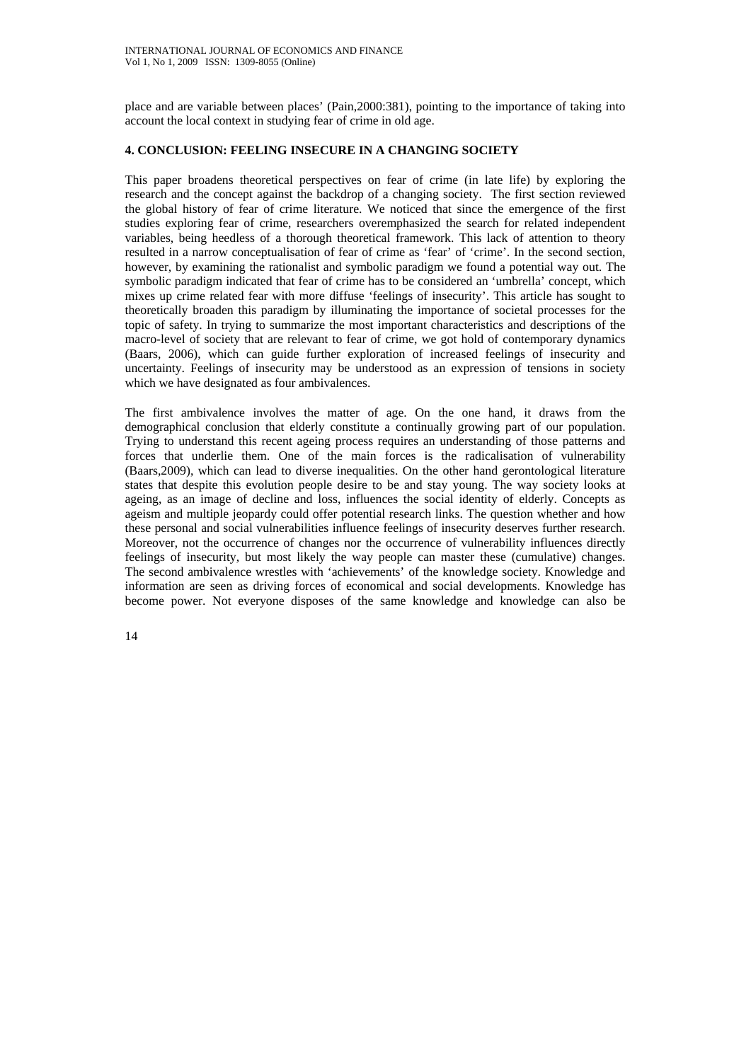place and are variable between places' (Pain,2000:381), pointing to the importance of taking into account the local context in studying fear of crime in old age.

### **4. CONCLUSION: FEELING INSECURE IN A CHANGING SOCIETY**

This paper broadens theoretical perspectives on fear of crime (in late life) by exploring the research and the concept against the backdrop of a changing society. The first section reviewed the global history of fear of crime literature. We noticed that since the emergence of the first studies exploring fear of crime, researchers overemphasized the search for related independent variables, being heedless of a thorough theoretical framework. This lack of attention to theory resulted in a narrow conceptualisation of fear of crime as 'fear' of 'crime'. In the second section, however, by examining the rationalist and symbolic paradigm we found a potential way out. The symbolic paradigm indicated that fear of crime has to be considered an 'umbrella' concept, which mixes up crime related fear with more diffuse 'feelings of insecurity'. This article has sought to theoretically broaden this paradigm by illuminating the importance of societal processes for the topic of safety. In trying to summarize the most important characteristics and descriptions of the macro-level of society that are relevant to fear of crime, we got hold of contemporary dynamics (Baars, 2006), which can guide further exploration of increased feelings of insecurity and uncertainty. Feelings of insecurity may be understood as an expression of tensions in society which we have designated as four ambivalences.

The first ambivalence involves the matter of age. On the one hand, it draws from the demographical conclusion that elderly constitute a continually growing part of our population. Trying to understand this recent ageing process requires an understanding of those patterns and forces that underlie them. One of the main forces is the radicalisation of vulnerability (Baars,2009), which can lead to diverse inequalities. On the other hand gerontological literature states that despite this evolution people desire to be and stay young. The way society looks at ageing, as an image of decline and loss, influences the social identity of elderly. Concepts as ageism and multiple jeopardy could offer potential research links. The question whether and how these personal and social vulnerabilities influence feelings of insecurity deserves further research. Moreover, not the occurrence of changes nor the occurrence of vulnerability influences directly feelings of insecurity, but most likely the way people can master these (cumulative) changes. The second ambivalence wrestles with 'achievements' of the knowledge society. Knowledge and information are seen as driving forces of economical and social developments. Knowledge has become power. Not everyone disposes of the same knowledge and knowledge can also be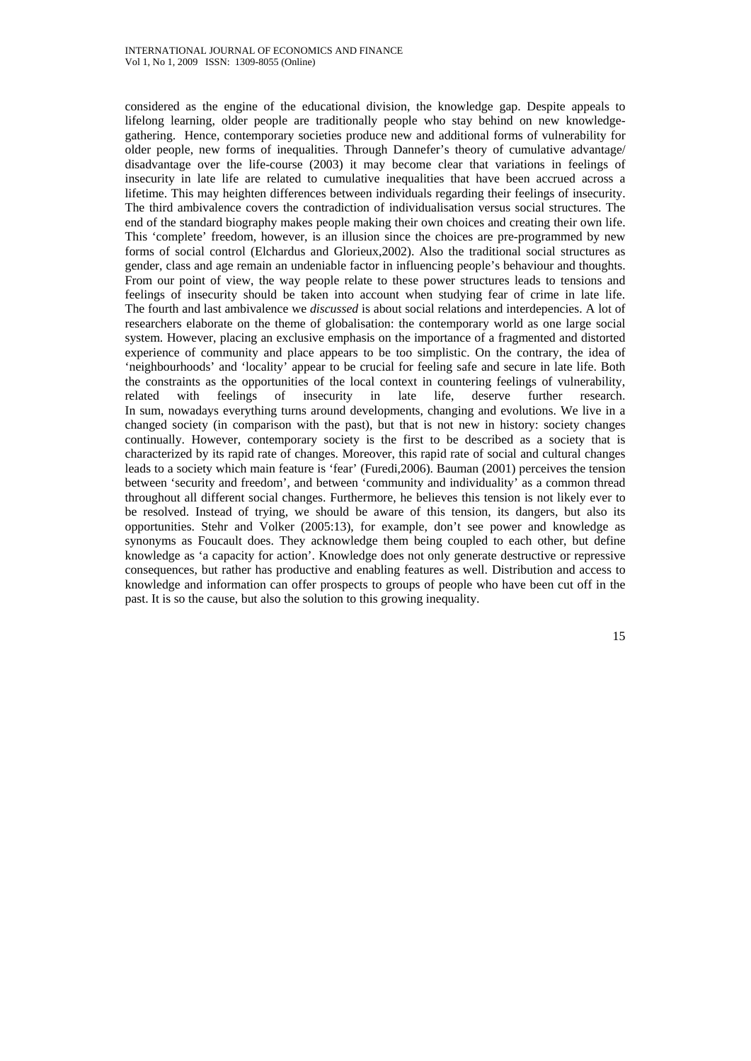considered as the engine of the educational division, the knowledge gap. Despite appeals to lifelong learning, older people are traditionally people who stay behind on new knowledgegathering. Hence, contemporary societies produce new and additional forms of vulnerability for older people, new forms of inequalities. Through Dannefer's theory of cumulative advantage/ disadvantage over the life-course (2003) it may become clear that variations in feelings of insecurity in late life are related to cumulative inequalities that have been accrued across a lifetime. This may heighten differences between individuals regarding their feelings of insecurity. The third ambivalence covers the contradiction of individualisation versus social structures. The end of the standard biography makes people making their own choices and creating their own life. This 'complete' freedom, however, is an illusion since the choices are pre-programmed by new forms of social control (Elchardus and Glorieux,2002). Also the traditional social structures as gender, class and age remain an undeniable factor in influencing people's behaviour and thoughts. From our point of view, the way people relate to these power structures leads to tensions and feelings of insecurity should be taken into account when studying fear of crime in late life. The fourth and last ambivalence we *discussed* is about social relations and interdepencies. A lot of researchers elaborate on the theme of globalisation: the contemporary world as one large social system. However, placing an exclusive emphasis on the importance of a fragmented and distorted experience of community and place appears to be too simplistic. On the contrary, the idea of 'neighbourhoods' and 'locality' appear to be crucial for feeling safe and secure in late life. Both the constraints as the opportunities of the local context in countering feelings of vulnerability, related with feelings of insecurity in late life, deserve further research. In sum, nowadays everything turns around developments, changing and evolutions. We live in a changed society (in comparison with the past), but that is not new in history: society changes continually. However, contemporary society is the first to be described as a society that is characterized by its rapid rate of changes. Moreover, this rapid rate of social and cultural changes leads to a society which main feature is 'fear' (Furedi,2006). Bauman (2001) perceives the tension between 'security and freedom', and between 'community and individuality' as a common thread throughout all different social changes. Furthermore, he believes this tension is not likely ever to be resolved. Instead of trying, we should be aware of this tension, its dangers, but also its opportunities. Stehr and Volker (2005:13), for example, don't see power and knowledge as synonyms as Foucault does. They acknowledge them being coupled to each other, but define knowledge as 'a capacity for action'. Knowledge does not only generate destructive or repressive consequences, but rather has productive and enabling features as well. Distribution and access to knowledge and information can offer prospects to groups of people who have been cut off in the past. It is so the cause, but also the solution to this growing inequality.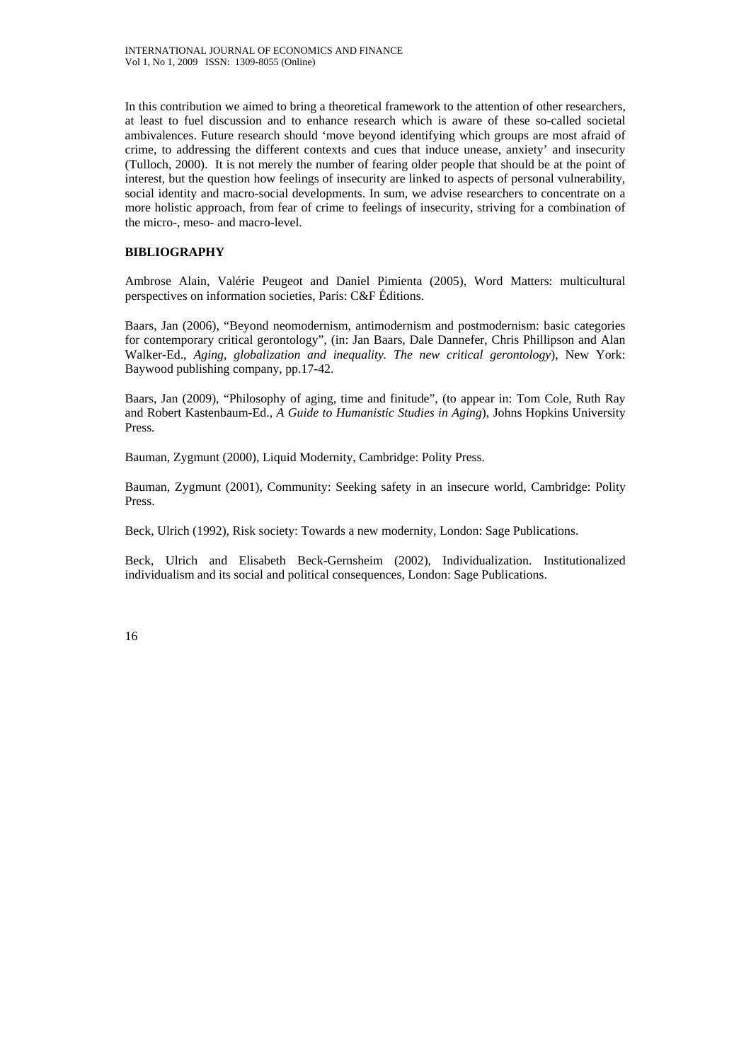In this contribution we aimed to bring a theoretical framework to the attention of other researchers, at least to fuel discussion and to enhance research which is aware of these so-called societal ambivalences. Future research should 'move beyond identifying which groups are most afraid of crime, to addressing the different contexts and cues that induce unease, anxiety' and insecurity (Tulloch, 2000). It is not merely the number of fearing older people that should be at the point of interest, but the question how feelings of insecurity are linked to aspects of personal vulnerability, social identity and macro-social developments. In sum, we advise researchers to concentrate on a more holistic approach, from fear of crime to feelings of insecurity, striving for a combination of the micro-, meso- and macro-level.

## **BIBLIOGRAPHY**

Ambrose Alain, Valérie Peugeot and Daniel Pimienta (2005), Word Matters: multicultural perspectives on information societies, Paris: C&F Éditions.

Baars, Jan (2006), "Beyond neomodernism, antimodernism and postmodernism: basic categories for contemporary critical gerontology", (in: Jan Baars, Dale Dannefer, Chris Phillipson and Alan Walker-Ed., *Aging, globalization and inequality. The new critical gerontology*), New York: Baywood publishing company, pp.17-42.

Baars, Jan (2009), "Philosophy of aging, time and finitude", (to appear in: Tom Cole, Ruth Ray and Robert Kastenbaum-Ed., *A Guide to Humanistic Studies in Aging*), Johns Hopkins University Press*.*

Bauman, Zygmunt (2000), Liquid Modernity, Cambridge: Polity Press.

Bauman, Zygmunt (2001), Community: Seeking safety in an insecure world, Cambridge: Polity Press.

Beck, Ulrich (1992), Risk society: Towards a new modernity, London: Sage Publications.

Beck, Ulrich and Elisabeth Beck-Gernsheim (2002), Individualization. Institutionalized individualism and its social and political consequences, London: Sage Publications.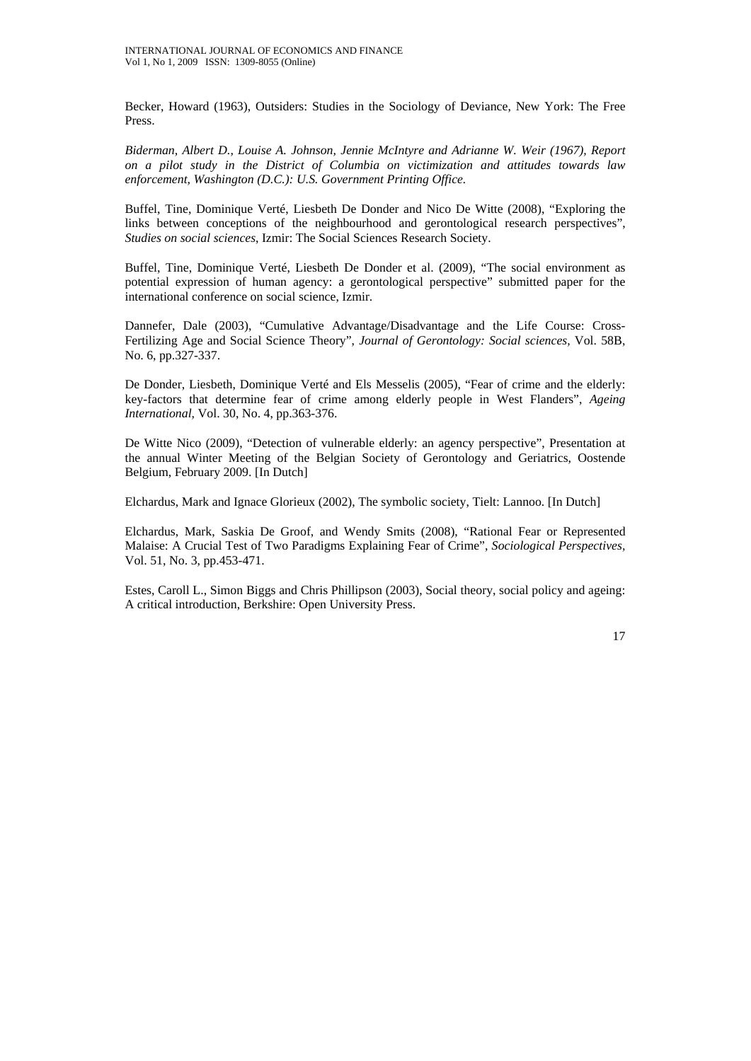Becker, Howard (1963), Outsiders: Studies in the Sociology of Deviance, New York: The Free Press.

*Biderman, Albert D., Louise A. Johnson, Jennie McIntyre and Adrianne W. Weir (1967), Report on a pilot study in the District of Columbia on victimization and attitudes towards law enforcement, Washington (D.C.): U.S. Government Printing Office.* 

Buffel, Tine, Dominique Verté, Liesbeth De Donder and Nico De Witte (2008), "Exploring the links between conceptions of the neighbourhood and gerontological research perspectives", *Studies on social sciences*, Izmir: The Social Sciences Research Society.

Buffel, Tine, Dominique Verté, Liesbeth De Donder et al. (2009), "The social environment as potential expression of human agency: a gerontological perspective" submitted paper for the international conference on social science, Izmir.

Dannefer, Dale (2003), "Cumulative Advantage/Disadvantage and the Life Course: Cross-Fertilizing Age and Social Science Theory", *Journal of Gerontology: Social sciences,* Vol. 58B, No. 6, pp.327-337.

De Donder, Liesbeth, Dominique Verté and Els Messelis (2005), "Fear of crime and the elderly: key-factors that determine fear of crime among elderly people in West Flanders", *Ageing International,* Vol. 30, No. 4, pp.363-376.

De Witte Nico (2009), "Detection of vulnerable elderly: an agency perspective", Presentation at the annual Winter Meeting of the Belgian Society of Gerontology and Geriatrics, Oostende Belgium, February 2009. [In Dutch]

Elchardus, Mark and Ignace Glorieux (2002), The symbolic society, Tielt: Lannoo. [In Dutch]

Elchardus, Mark, Saskia De Groof, and Wendy Smits (2008), "Rational Fear or Represented Malaise: A Crucial Test of Two Paradigms Explaining Fear of Crime", *Sociological Perspectives,*  Vol. 51, No. 3, pp.453-471.

Estes, Caroll L., Simon Biggs and Chris Phillipson (2003), Social theory, social policy and ageing: A critical introduction, Berkshire: Open University Press.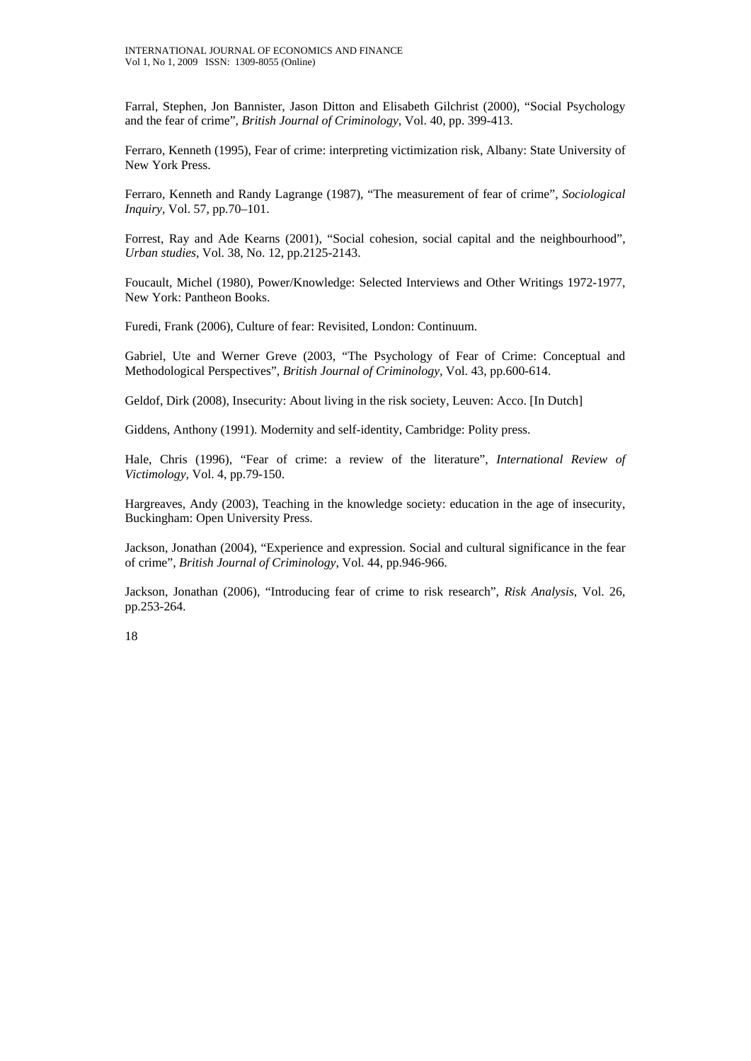Farral, Stephen, Jon Bannister, Jason Ditton and Elisabeth Gilchrist (2000), "Social Psychology and the fear of crime", *British Journal of Criminology,* Vol. 40, pp. 399-413.

Ferraro, Kenneth (1995), Fear of crime: interpreting victimization risk, Albany: State University of New York Press.

Ferraro, Kenneth and Randy Lagrange (1987), "The measurement of fear of crime", *Sociological Inquiry,* Vol. 57, pp.70–101.

Forrest, Ray and Ade Kearns (2001), "Social cohesion, social capital and the neighbourhood", *Urban studies,* Vol. 38, No. 12, pp.2125-2143.

Foucault, Michel (1980), Power/Knowledge: Selected Interviews and Other Writings 1972-1977, New York: Pantheon Books.

Furedi, Frank (2006), Culture of fear: Revisited, London: Continuum.

Gabriel, Ute and Werner Greve (2003, "The Psychology of Fear of Crime: Conceptual and Methodological Perspectives", *British Journal of Criminology,* Vol. 43, pp.600-614.

Geldof, Dirk (2008), Insecurity: About living in the risk society, Leuven: Acco. [In Dutch]

Giddens, Anthony (1991). Modernity and self-identity, Cambridge: Polity press.

Hale, Chris (1996), "Fear of crime: a review of the literature", *International Review of Victimology,* Vol. 4, pp.79-150.

Hargreaves, Andy (2003), Teaching in the knowledge society: education in the age of insecurity, Buckingham: Open University Press.

Jackson, Jonathan (2004), "Experience and expression. Social and cultural significance in the fear of crime", *British Journal of Criminology,* Vol. 44, pp.946-966.

Jackson, Jonathan (2006), "Introducing fear of crime to risk research", *Risk Analysis,* Vol. 26, pp.253-264.

18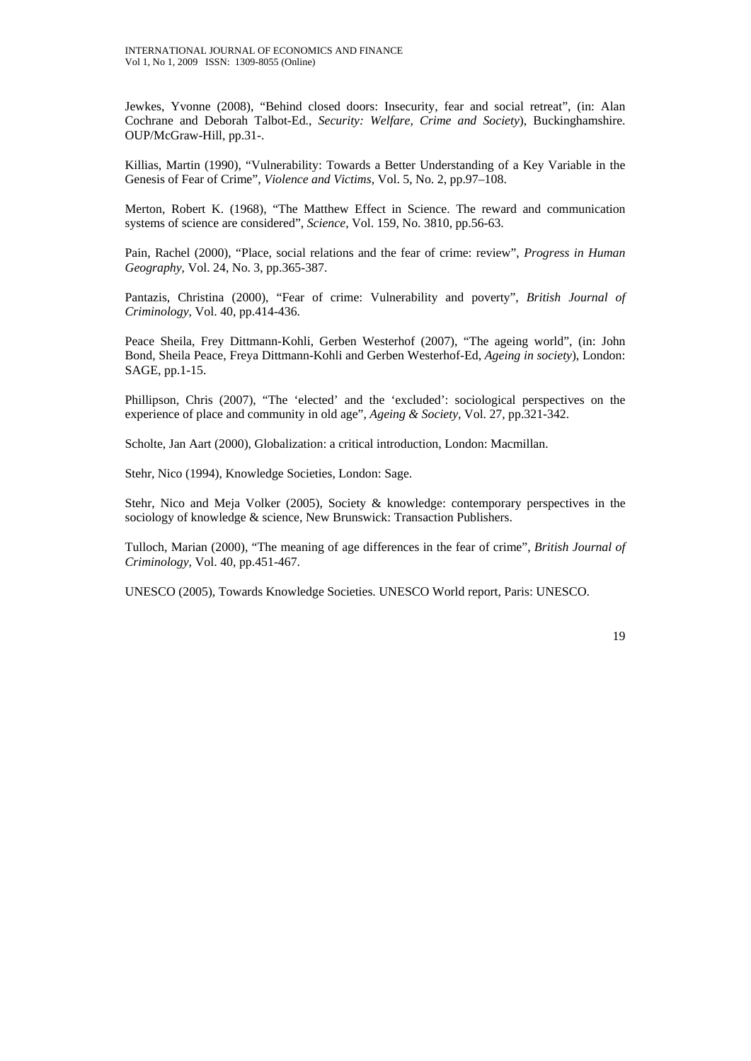Jewkes, Yvonne (2008), "Behind closed doors: Insecurity, fear and social retreat", (in: Alan Cochrane and Deborah Talbot-Ed., *Security: Welfare, Crime and Society*), Buckinghamshire. OUP/McGraw-Hill, pp.31-.

Killias, Martin (1990), "Vulnerability: Towards a Better Understanding of a Key Variable in the Genesis of Fear of Crime", *Violence and Victims*, Vol. 5, No. 2, pp.97–108.

Merton, Robert K. (1968), "The Matthew Effect in Science. The reward and communication systems of science are considered", *Science,* Vol. 159, No. 3810, pp.56-63.

Pain, Rachel (2000), "Place, social relations and the fear of crime: review", *Progress in Human Geography,* Vol. 24, No. 3, pp.365-387.

Pantazis, Christina (2000), "Fear of crime: Vulnerability and poverty", *British Journal of Criminology,* Vol. 40, pp.414-436.

Peace Sheila, Frey Dittmann-Kohli, Gerben Westerhof (2007), "The ageing world", (in: John Bond, Sheila Peace, Freya Dittmann-Kohli and Gerben Westerhof-Ed, *Ageing in society*), London: SAGE, pp.1-15.

Phillipson, Chris (2007), "The 'elected' and the 'excluded': sociological perspectives on the experience of place and community in old age", *Ageing & Society,* Vol. 27, pp.321-342.

Scholte, Jan Aart (2000), Globalization: a critical introduction, London: Macmillan.

Stehr, Nico (1994), Knowledge Societies, London: Sage.

Stehr, Nico and Meja Volker (2005), Society & knowledge: contemporary perspectives in the sociology of knowledge & science, New Brunswick: Transaction Publishers.

Tulloch, Marian (2000), "The meaning of age differences in the fear of crime", *British Journal of Criminology,* Vol. 40, pp.451-467.

UNESCO (2005), Towards Knowledge Societies. UNESCO World report, Paris: UNESCO.